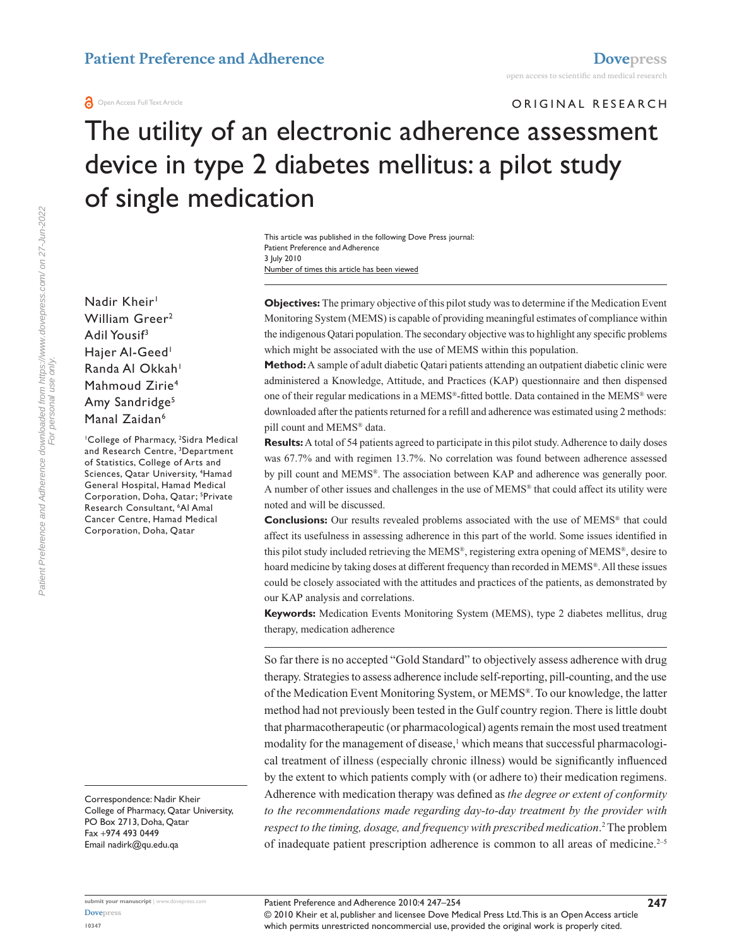ORIGINAL RESEARCH

# The utility of an electronic adherence assessment device in type 2 diabetes mellitus: a pilot study of single medication

Number of times this article has been viewed This article was published in the following Dove Press journal: Patient Preference and Adherence 3 July 2010

**Objectives:** The primary objective of this pilot study was to determine if the Medication Event Monitoring System (MEMS) is capable of providing meaningful estimates of compliance within the indigenous Qatari population. The secondary objective was to highlight any specific problems which might be associated with the use of MEMS within this population.

**Method:** A sample of adult diabetic Qatari patients attending an outpatient diabetic clinic were administered a Knowledge, Attitude, and Practices (KAP) questionnaire and then dispensed one of their regular medications in a MEMS®-fitted bottle. Data contained in the MEMS® were downloaded after the patients returned for a refill and adherence was estimated using 2 methods: pill count and MEMS® data.

**Results:** A total of 54 patients agreed to participate in this pilot study. Adherence to daily doses was 67.7% and with regimen 13.7%. No correlation was found between adherence assessed by pill count and MEMS®. The association between KAP and adherence was generally poor. A number of other issues and challenges in the use of MEMS® that could affect its utility were noted and will be discussed.

**Conclusions:** Our results revealed problems associated with the use of MEMS® that could affect its usefulness in assessing adherence in this part of the world. Some issues identified in this pilot study included retrieving the MEMS®, registering extra opening of MEMS®, desire to hoard medicine by taking doses at different frequency than recorded in MEMS®. All these issues could be closely associated with the attitudes and practices of the patients, as demonstrated by our KAP analysis and correlations.

**Keywords:** Medication Events Monitoring System (MEMS), type 2 diabetes mellitus, drug therapy, medication adherence

So far there is no accepted "Gold Standard" to objectively assess adherence with drug therapy. Strategies to assess adherence include self-reporting, pill-counting, and the use of the Medication Event Monitoring System, or MEMS®. To our knowledge, the latter method had not previously been tested in the Gulf country region. There is little doubt that pharmacotherapeutic (or pharmacological) agents remain the most used treatment modality for the management of disease,<sup>1</sup> which means that successful pharmacological treatment of illness (especially chronic illness) would be significantly influenced by the extent to which patients comply with (or adhere to) their medication regimens. Adherence with medication therapy was defined as *the degree or extent of conformity to the recommendations made regarding day-to-day treatment by the provider with*  respect to the timing, dosage, and frequency with prescribed medication.<sup>2</sup> The problem of inadequate patient prescription adherence is common to all areas of medicine.2–5

Nadir Kheir<sup>1</sup> William Greer<sup>2</sup> Adil Yousif3 Hajer Al-Geed<sup>1</sup> Randa AI Okkah<sup>1</sup> Mahmoud Zirie<sup>4</sup> Amy Sandridge<sup>5</sup> Manal Zaidan<sup>6</sup>

1 College of Pharmacy, 2 Sidra Medical and Research Centre, 3 Department of Statistics, College of Arts and Sciences, Qatar University, 4 Hamad General Hospital, Hamad Medical Corporation, Doha, Qatar; <sup>5</sup>Private Research Consultant, 6 Al Amal Cancer Centre, Hamad Medical Corporation, Doha, Qatar

Correspondence: Nadir Kheir College of Pharmacy, Qatar University, PO Box 2713, Doha, Qatar Fax +974 493 0449 Email<nadirk@qu.edu.qa>

**submit your manuscript** | <www.dovepress.com>

**[Dovepress](www.dovepress.com) 10347**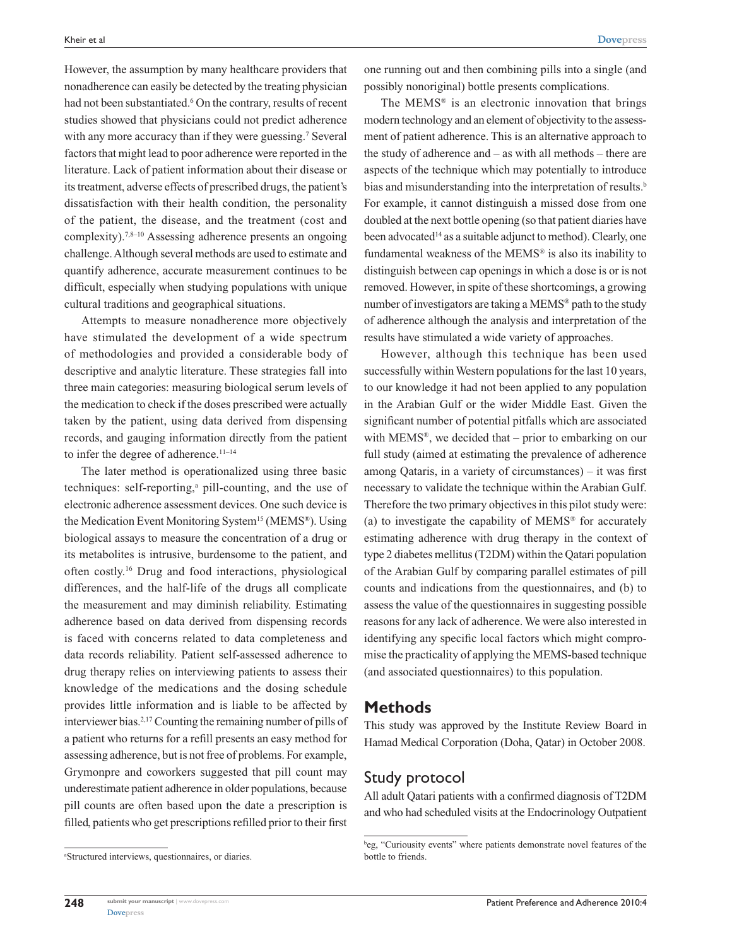However, the assumption by many healthcare providers that nonadherence can easily be detected by the treating physician had not been substantiated.<sup>6</sup> On the contrary, results of recent studies showed that physicians could not predict adherence with any more accuracy than if they were guessing.<sup>7</sup> Several factors that might lead to poor adherence were reported in the literature. Lack of patient information about their disease or its treatment, adverse effects of prescribed drugs, the patient's dissatisfaction with their health condition, the personality of the patient, the disease, and the treatment (cost and complexity).7,8–10 Assessing adherence presents an ongoing challenge. Although several methods are used to estimate and quantify adherence, accurate measurement continues to be difficult, especially when studying populations with unique cultural traditions and geographical situations.

Attempts to measure nonadherence more objectively have stimulated the development of a wide spectrum of methodologies and provided a considerable body of descriptive and analytic literature. These strategies fall into three main categories: measuring biological serum levels of the medication to check if the doses prescribed were actually taken by the patient, using data derived from dispensing records, and gauging information directly from the patient to infer the degree of adherence. $11-14$ 

The later method is operationalized using three basic techniques: self-reporting,<sup>a</sup> pill-counting, and the use of electronic adherence assessment devices. One such device is the Medication Event Monitoring System<sup>15</sup> (MEMS®). Using biological assays to measure the concentration of a drug or its metabolites is intrusive, burdensome to the patient, and often costly.16 Drug and food interactions, physiological differences, and the half-life of the drugs all complicate the measurement and may diminish reliability. Estimating adherence based on data derived from dispensing records is faced with concerns related to data completeness and data records reliability. Patient self-assessed adherence to drug therapy relies on interviewing patients to assess their knowledge of the medications and the dosing schedule provides little information and is liable to be affected by interviewer bias.2,17 Counting the remaining number of pills of a patient who returns for a refill presents an easy method for assessing adherence, but is not free of problems. For example, Grymonpre and coworkers suggested that pill count may underestimate patient adherence in older populations, because pill counts are often based upon the date a prescription is filled, patients who get prescriptions refilled prior to their first

one running out and then combining pills into a single (and possibly nonoriginal) bottle presents complications.

The  $MEMS<sup>®</sup>$  is an electronic innovation that brings modern technology and an element of objectivity to the assessment of patient adherence. This is an alternative approach to the study of adherence and – as with all methods – there are aspects of the technique which may potentially to introduce bias and misunderstanding into the interpretation of results.<sup>b</sup> For example, it cannot distinguish a missed dose from one doubled at the next bottle opening (so that patient diaries have been advocated<sup>14</sup> as a suitable adjunct to method). Clearly, one fundamental weakness of the MEMS® is also its inability to distinguish between cap openings in which a dose is or is not removed. However, in spite of these shortcomings, a growing number of investigators are taking a MEMS® path to the study of adherence although the analysis and interpretation of the results have stimulated a wide variety of approaches.

However, although this technique has been used successfully within Western populations for the last 10 years, to our knowledge it had not been applied to any population in the Arabian Gulf or the wider Middle East. Given the significant number of potential pitfalls which are associated with MEMS<sup>®</sup>, we decided that – prior to embarking on our full study (aimed at estimating the prevalence of adherence among Qataris, in a variety of circumstances) – it was first necessary to validate the technique within the Arabian Gulf. Therefore the two primary objectives in this pilot study were: (a) to investigate the capability of MEMS® for accurately estimating adherence with drug therapy in the context of type 2 diabetes mellitus (T2DM) within the Qatari population of the Arabian Gulf by comparing parallel estimates of pill counts and indications from the questionnaires, and (b) to assess the value of the questionnaires in suggesting possible reasons for any lack of adherence. We were also interested in identifying any specific local factors which might compromise the practicality of applying the MEMS-based technique (and associated questionnaires) to this population.

#### **Methods**

This study was approved by the Institute Review Board in Hamad Medical Corporation (Doha, Qatar) in October 2008.

## Study protocol

All adult Qatari patients with a confirmed diagnosis of T2DM and who had scheduled visits at the Endocrinology Outpatient

a Structured interviews, questionnaires, or diaries.

beg, "Curiousity events" where patients demonstrate novel features of the bottle to friends.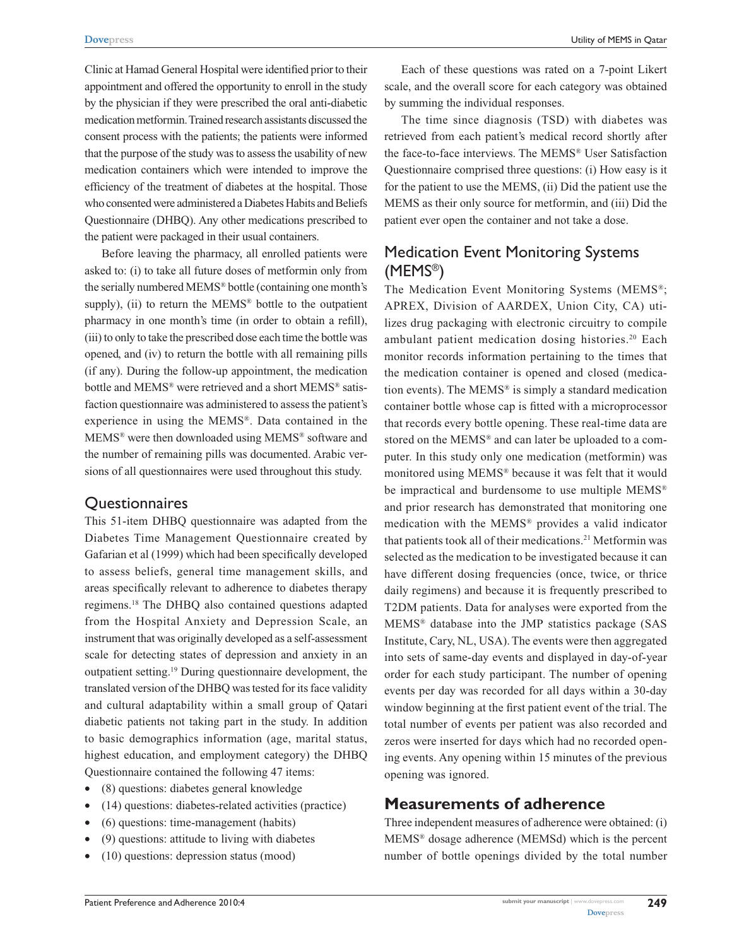Clinic at Hamad General Hospital were identified prior to their appointment and offered the opportunity to enroll in the study by the physician if they were prescribed the oral anti-diabetic medication metformin. Trained research assistants discussed the consent process with the patients; the patients were informed that the purpose of the study was to assess the usability of new medication containers which were intended to improve the efficiency of the treatment of diabetes at the hospital. Those who consented were administered a Diabetes Habits and Beliefs Questionnaire (DHBQ). Any other medications prescribed to the patient were packaged in their usual containers.

Before leaving the pharmacy, all enrolled patients were asked to: (i) to take all future doses of metformin only from the serially numbered MEMS® bottle (containing one month's supply), (ii) to return the MEMS<sup>®</sup> bottle to the outpatient pharmacy in one month's time (in order to obtain a refill), (iii) to only to take the prescribed dose each time the bottle was opened, and (iv) to return the bottle with all remaining pills (if any). During the follow-up appointment, the medication bottle and MEMS® were retrieved and a short MEMS® satisfaction questionnaire was administered to assess the patient's experience in using the MEMS®. Data contained in the MEMS® were then downloaded using MEMS® software and the number of remaining pills was documented. Arabic versions of all questionnaires were used throughout this study.

### Questionnaires

This 51-item DHBQ questionnaire was adapted from the Diabetes Time Management Questionnaire created by Gafarian et al (1999) which had been specifically developed to assess beliefs, general time management skills, and areas specifically relevant to adherence to diabetes therapy regimens.18 The DHBQ also contained questions adapted from the Hospital Anxiety and Depression Scale, an instrument that was originally developed as a self-assessment scale for detecting states of depression and anxiety in an outpatient setting.19 During questionnaire development, the translated version of the DHBQ was tested for its face validity and cultural adaptability within a small group of Qatari diabetic patients not taking part in the study. In addition to basic demographics information (age, marital status, highest education, and employment category) the DHBQ Questionnaire contained the following 47 items:

- (8) questions: diabetes general knowledge
- $(14)$  questions: diabetes-related activities (practice)
- $(6)$  questions: time-management (habits)
- $\bullet$  (9) questions: attitude to living with diabetes
- $(10)$  questions: depression status (mood)

Each of these questions was rated on a 7-point Likert scale, and the overall score for each category was obtained by summing the individual responses.

The time since diagnosis (TSD) with diabetes was retrieved from each patient's medical record shortly after the face-to-face interviews. The MEMS® User Satisfaction Questionnaire comprised three questions: (i) How easy is it for the patient to use the MEMS, (ii) Did the patient use the MEMS as their only source for metformin, and (iii) Did the patient ever open the container and not take a dose.

## Medication Event Monitoring Systems (MEMS®)

The Medication Event Monitoring Systems (MEMS®; APREX, Division of AARDEX, Union City, CA) utilizes drug packaging with electronic circuitry to compile ambulant patient medication dosing histories.<sup>20</sup> Each monitor records information pertaining to the times that the medication container is opened and closed (medication events). The MEMS® is simply a standard medication container bottle whose cap is fitted with a microprocessor that records every bottle opening. These real-time data are stored on the MEMS® and can later be uploaded to a computer. In this study only one medication (metformin) was monitored using MEMS® because it was felt that it would be impractical and burdensome to use multiple MEMS<sup>®</sup> and prior research has demonstrated that monitoring one medication with the MEMS® provides a valid indicator that patients took all of their medications.<sup>21</sup> Metformin was selected as the medication to be investigated because it can have different dosing frequencies (once, twice, or thrice daily regimens) and because it is frequently prescribed to T2DM patients. Data for analyses were exported from the MEMS® database into the JMP statistics package (SAS Institute, Cary, NL, USA). The events were then aggregated into sets of same-day events and displayed in day-of-year order for each study participant. The number of opening events per day was recorded for all days within a 30-day window beginning at the first patient event of the trial. The total number of events per patient was also recorded and zeros were inserted for days which had no recorded opening events. Any opening within 15 minutes of the previous opening was ignored.

## **Measurements of adherence**

Three independent measures of adherence were obtained: (i) MEMS® dosage adherence (MEMSd) which is the percent number of bottle openings divided by the total number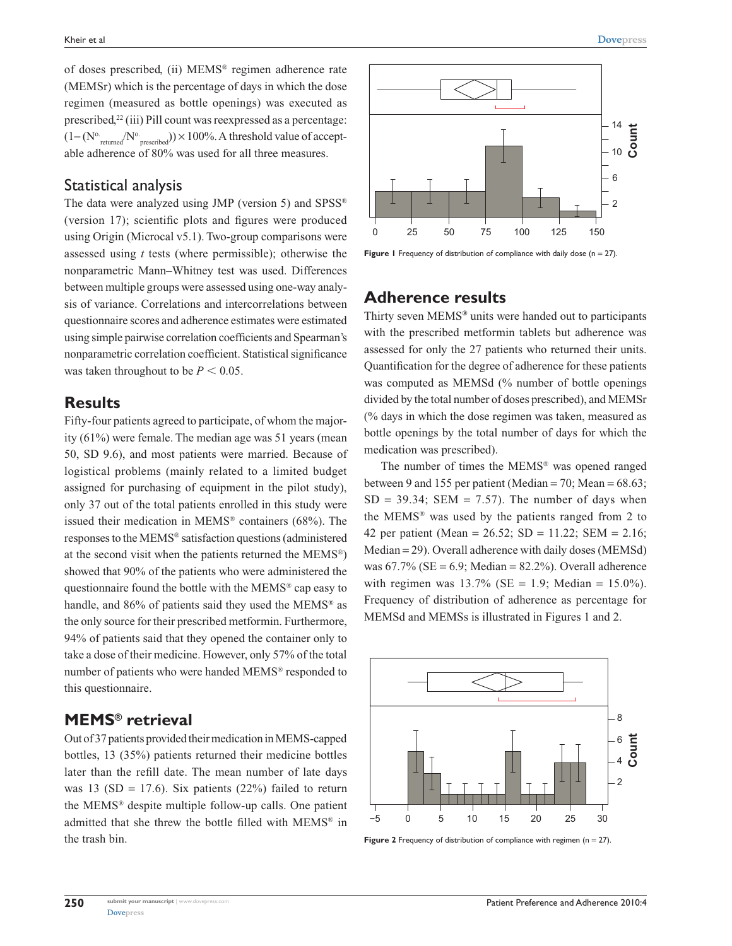of doses prescribed, (ii) MEMS® regimen adherence rate (MEMSr) which is the percentage of days in which the dose regimen (measured as bottle openings) was executed as prescribed,22 (iii) Pill count was reexpressed as a percentage:  $(1 - (N^{\circ}_{returred}/N^{\circ}_{prescribed})) \times 100\%$ . A threshold value of acceptable adherence of 80% was used for all three measures.

### Statistical analysis

The data were analyzed using JMP (version 5) and SPSS® (version 17); scientific plots and figures were produced using Origin (Microcal v5.1). Two-group comparisons were assessed using *t* tests (where permissible); otherwise the nonparametric Mann–Whitney test was used. Differences between multiple groups were assessed using one-way analysis of variance. Correlations and intercorrelations between questionnaire scores and adherence estimates were estimated using simple pairwise correlation coefficients and Spearman's nonparametric correlation coefficient. Statistical significance was taken throughout to be  $P < 0.05$ .

## **Results**

Fifty-four patients agreed to participate, of whom the majority (61%) were female. The median age was 51 years (mean 50, SD 9.6), and most patients were married. Because of logistical problems (mainly related to a limited budget assigned for purchasing of equipment in the pilot study), only 37 out of the total patients enrolled in this study were issued their medication in MEMS® containers (68%). The responses to the MEMS® satisfaction questions (administered at the second visit when the patients returned the MEMS®) showed that 90% of the patients who were administered the questionnaire found the bottle with the MEMS® cap easy to handle, and 86% of patients said they used the MEMS<sup>®</sup> as the only source for their prescribed metformin. Furthermore, 94% of patients said that they opened the container only to take a dose of their medicine. However, only 57% of the total number of patients who were handed MEMS® responded to this questionnaire.

## **MEMS® retrieval**

**[Dovepress](www.dovepress.com)** 

**250**

Out of 37 patients provided their medication in MEMS-capped bottles, 13 (35%) patients returned their medicine bottles later than the refill date. The mean number of late days was 13 (SD = 17.6). Six patients  $(22%)$  failed to return the MEMS® despite multiple follow-up calls. One patient admitted that she threw the bottle filled with MEMS® in the trash bin.



**Figure 1** Frequency of distribution of compliance with daily dose (n = 27).

## **Adherence results**

Thirty seven MEMS*®* units were handed out to participants with the prescribed metformin tablets but adherence was assessed for only the 27 patients who returned their units. Quantification for the degree of adherence for these patients was computed as MEMSd (% number of bottle openings divided by the total number of doses prescribed), and MEMSr (% days in which the dose regimen was taken, measured as bottle openings by the total number of days for which the medication was prescribed).

The number of times the MEMS® was opened ranged between 9 and 155 per patient (Median = 70; Mean =  $68.63$ ;  $SD = 39.34$ ; SEM = 7.57). The number of days when the MEMS® was used by the patients ranged from 2 to 42 per patient (Mean = 26.52; SD = 11.22; SEM = 2.16; Median = 29). Overall adherence with daily doses (MEMSd) was  $67.7\%$  (SE = 6.9; Median = 82.2%). Overall adherence with regimen was  $13.7\%$  (SE = 1.9; Median = 15.0%). Frequency of distribution of adherence as percentage for MEMSd and MEMSs is illustrated in Figures 1 and 2.



**Figure 2** Frequency of distribution of compliance with regimen (n = 27).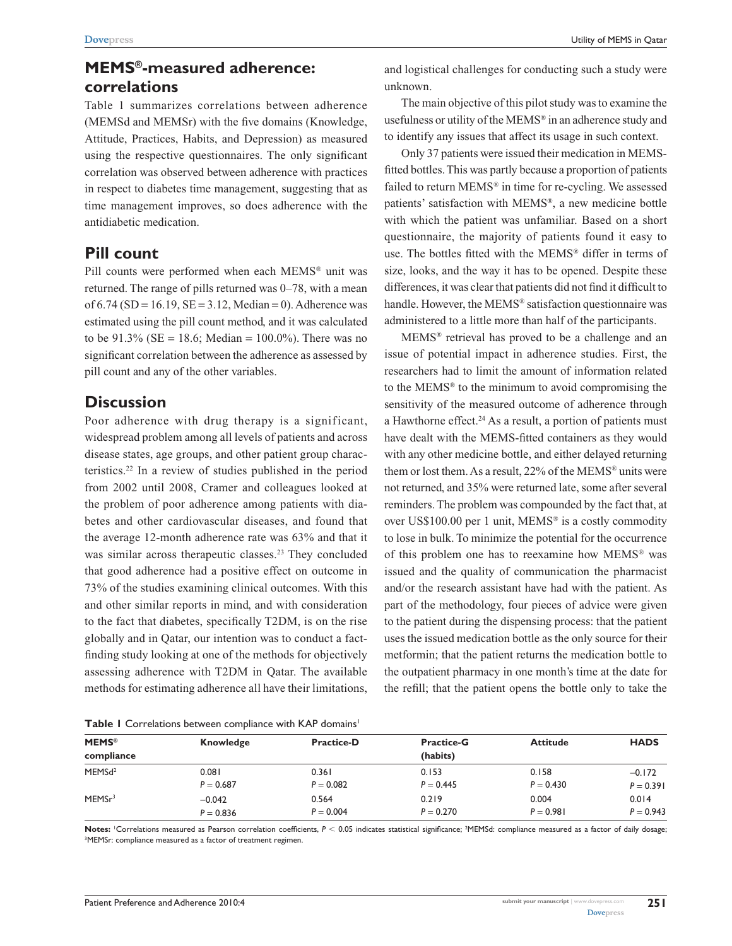# **MEMS®-measured adherence: correlations**

Table 1 summarizes correlations between adherence (MEMSd and MEMSr) with the five domains (Knowledge, Attitude, Practices, Habits, and Depression) as measured using the respective questionnaires. The only significant correlation was observed between adherence with practices in respect to diabetes time management, suggesting that as time management improves, so does adherence with the antidiabetic medication.

## **Pill count**

Pill counts were performed when each MEMS® unit was returned. The range of pills returned was 0–78, with a mean of  $6.74$  (SD = 16.19, SE = 3.12, Median = 0). Adherence was estimated using the pill count method, and it was calculated to be  $91.3\%$  (SE = 18.6; Median = 100.0%). There was no significant correlation between the adherence as assessed by pill count and any of the other variables.

# **Discussion**

Poor adherence with drug therapy is a significant, widespread problem among all levels of patients and across disease states, age groups, and other patient group characteristics.22 In a review of studies published in the period from 2002 until 2008, Cramer and colleagues looked at the problem of poor adherence among patients with diabetes and other cardiovascular diseases, and found that the average 12-month adherence rate was 63% and that it was similar across therapeutic classes.<sup>23</sup> They concluded that good adherence had a positive effect on outcome in 73% of the studies examining clinical outcomes. With this and other similar reports in mind, and with consideration to the fact that diabetes, specifically T2DM, is on the rise globally and in Qatar, our intention was to conduct a factfinding study looking at one of the methods for objectively assessing adherence with T2DM in Qatar. The available methods for estimating adherence all have their limitations, and logistical challenges for conducting such a study were unknown.

The main objective of this pilot study was to examine the usefulness or utility of the MEMS® in an adherence study and to identify any issues that affect its usage in such context.

Only 37 patients were issued their medication in MEMSfitted bottles. This was partly because a proportion of patients failed to return MEMS® in time for re-cycling. We assessed patients' satisfaction with MEMS®, a new medicine bottle with which the patient was unfamiliar. Based on a short questionnaire, the majority of patients found it easy to use. The bottles fitted with the MEMS® differ in terms of size, looks, and the way it has to be opened. Despite these differences, it was clear that patients did not find it difficult to handle. However, the MEMS® satisfaction questionnaire was administered to a little more than half of the participants.

MEMS® retrieval has proved to be a challenge and an issue of potential impact in adherence studies. First, the researchers had to limit the amount of information related to the MEMS® to the minimum to avoid compromising the sensitivity of the measured outcome of adherence through a Hawthorne effect.<sup>24</sup> As a result, a portion of patients must have dealt with the MEMS-fitted containers as they would with any other medicine bottle, and either delayed returning them or lost them. As a result, 22% of the MEMS® units were not returned, and 35% were returned late, some after several reminders. The problem was compounded by the fact that, at over US\$100.00 per 1 unit, MEMS® is a costly commodity to lose in bulk. To minimize the potential for the occurrence of this problem one has to reexamine how MEMS® was issued and the quality of communication the pharmacist and/or the research assistant have had with the patient. As part of the methodology, four pieces of advice were given to the patient during the dispensing process: that the patient uses the issued medication bottle as the only source for their metformin; that the patient returns the medication bottle to the outpatient pharmacy in one month's time at the date for the refill; that the patient opens the bottle only to take the

Table 1 Correlations between compliance with KAP domains<sup>1</sup>

| <b>MEMS®</b>       | <b>Knowledge</b> | <b>Practice-D</b> | <b>Practice-G</b> | <b>Attitude</b> | <b>HADS</b> |
|--------------------|------------------|-------------------|-------------------|-----------------|-------------|
| compliance         |                  |                   | (habits)          |                 |             |
| MEMSd <sup>2</sup> | 0.081            | 0.361             | 0.153             | 0.158           | $-0.172$    |
|                    | $P = 0.687$      | $P = 0.082$       | $P = 0.445$       | $P = 0.430$     | $P = 0.391$ |
| MEMSr <sup>3</sup> | $-0.042$         | 0.564             | 0.219             | 0.004           | 0.014       |
|                    | $P = 0.836$      | $P = 0.004$       | $P = 0.270$       | $P = 0.981$     | $P = 0.943$ |

Notes: 'Correlations measured as Pearson correlation coefficients, P < 0.05 indicates statistical significance; <sup>2</sup>MEMSd: compliance measured as a factor of daily dosage;<br><sup>3</sup>MEMSr: compliance measured as a factor of treatm <sup>3</sup>MEMSr: compliance measured as a factor of treatment regimen.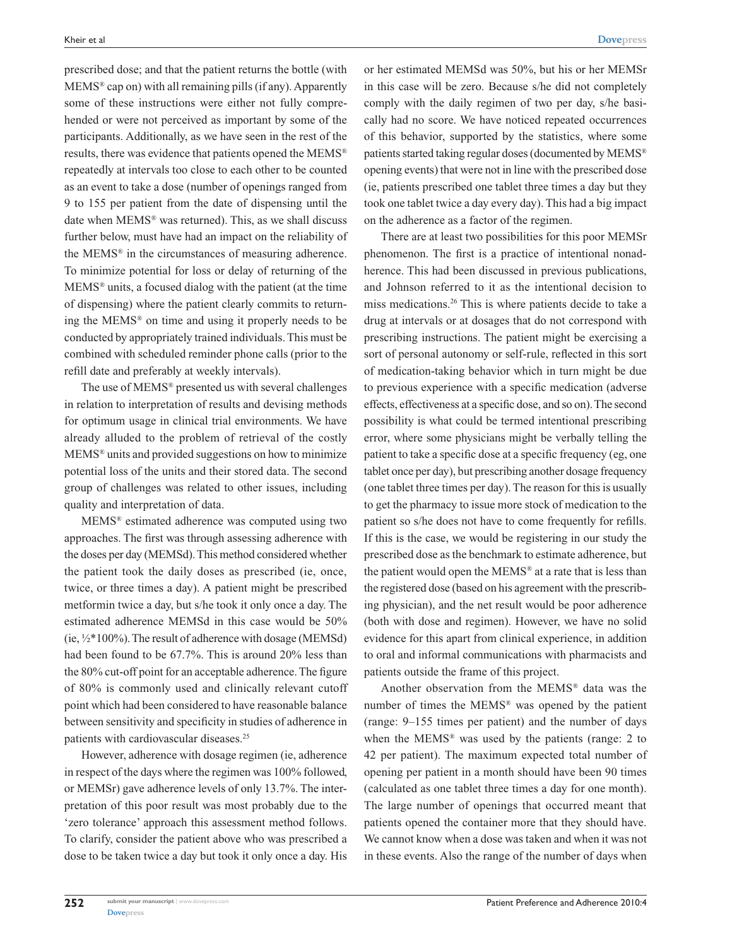**[Dovepress](www.dovepress.com)**

prescribed dose; and that the patient returns the bottle (with MEMS® cap on) with all remaining pills (if any). Apparently some of these instructions were either not fully comprehended or were not perceived as important by some of the participants. Additionally, as we have seen in the rest of the results, there was evidence that patients opened the MEMS® repeatedly at intervals too close to each other to be counted as an event to take a dose (number of openings ranged from 9 to 155 per patient from the date of dispensing until the date when MEMS® was returned). This, as we shall discuss further below, must have had an impact on the reliability of the MEMS® in the circumstances of measuring adherence. To minimize potential for loss or delay of returning of the MEMS® units, a focused dialog with the patient (at the time of dispensing) where the patient clearly commits to returning the MEMS® on time and using it properly needs to be conducted by appropriately trained individuals. This must be combined with scheduled reminder phone calls (prior to the refill date and preferably at weekly intervals).

The use of MEMS® presented us with several challenges in relation to interpretation of results and devising methods for optimum usage in clinical trial environments. We have already alluded to the problem of retrieval of the costly MEMS® units and provided suggestions on how to minimize potential loss of the units and their stored data. The second group of challenges was related to other issues, including quality and interpretation of data.

MEMS® estimated adherence was computed using two approaches. The first was through assessing adherence with the doses per day (MEMSd). This method considered whether the patient took the daily doses as prescribed (ie, once, twice, or three times a day). A patient might be prescribed metformin twice a day, but s/he took it only once a day. The estimated adherence MEMSd in this case would be 50% (ie,  $\frac{1}{2}$ \*100%). The result of adherence with dosage (MEMSd) had been found to be 67.7%. This is around 20% less than the 80% cut-off point for an acceptable adherence. The figure of 80% is commonly used and clinically relevant cutoff point which had been considered to have reasonable balance between sensitivity and specificity in studies of adherence in patients with cardiovascular diseases.25

However, adherence with dosage regimen (ie, adherence in respect of the days where the regimen was 100% followed, or MEMSr) gave adherence levels of only 13.7%. The interpretation of this poor result was most probably due to the 'zero tolerance' approach this assessment method follows. To clarify, consider the patient above who was prescribed a dose to be taken twice a day but took it only once a day. His or her estimated MEMSd was 50%, but his or her MEMSr in this case will be zero. Because s/he did not completely comply with the daily regimen of two per day, s/he basically had no score. We have noticed repeated occurrences of this behavior, supported by the statistics, where some patients started taking regular doses (documented by MEMS® opening events) that were not in line with the prescribed dose (ie, patients prescribed one tablet three times a day but they took one tablet twice a day every day). This had a big impact on the adherence as a factor of the regimen.

There are at least two possibilities for this poor MEMSr phenomenon. The first is a practice of intentional nonadherence. This had been discussed in previous publications, and Johnson referred to it as the intentional decision to miss medications.26 This is where patients decide to take a drug at intervals or at dosages that do not correspond with prescribing instructions. The patient might be exercising a sort of personal autonomy or self-rule, reflected in this sort of medication-taking behavior which in turn might be due to previous experience with a specific medication (adverse effects, effectiveness at a specific dose, and so on). The second possibility is what could be termed intentional prescribing error, where some physicians might be verbally telling the patient to take a specific dose at a specific frequency (eg, one tablet once per day), but prescribing another dosage frequency (one tablet three times per day). The reason for this is usually to get the pharmacy to issue more stock of medication to the patient so s/he does not have to come frequently for refills. If this is the case, we would be registering in our study the prescribed dose as the benchmark to estimate adherence, but the patient would open the MEMS® at a rate that is less than the registered dose (based on his agreement with the prescribing physician), and the net result would be poor adherence (both with dose and regimen). However, we have no solid evidence for this apart from clinical experience, in addition to oral and informal communications with pharmacists and patients outside the frame of this project.

Another observation from the MEMS® data was the number of times the MEMS® was opened by the patient (range: 9–155 times per patient) and the number of days when the MEMS® was used by the patients (range: 2 to 42 per patient). The maximum expected total number of opening per patient in a month should have been 90 times (calculated as one tablet three times a day for one month). The large number of openings that occurred meant that patients opened the container more that they should have. We cannot know when a dose was taken and when it was not in these events. Also the range of the number of days when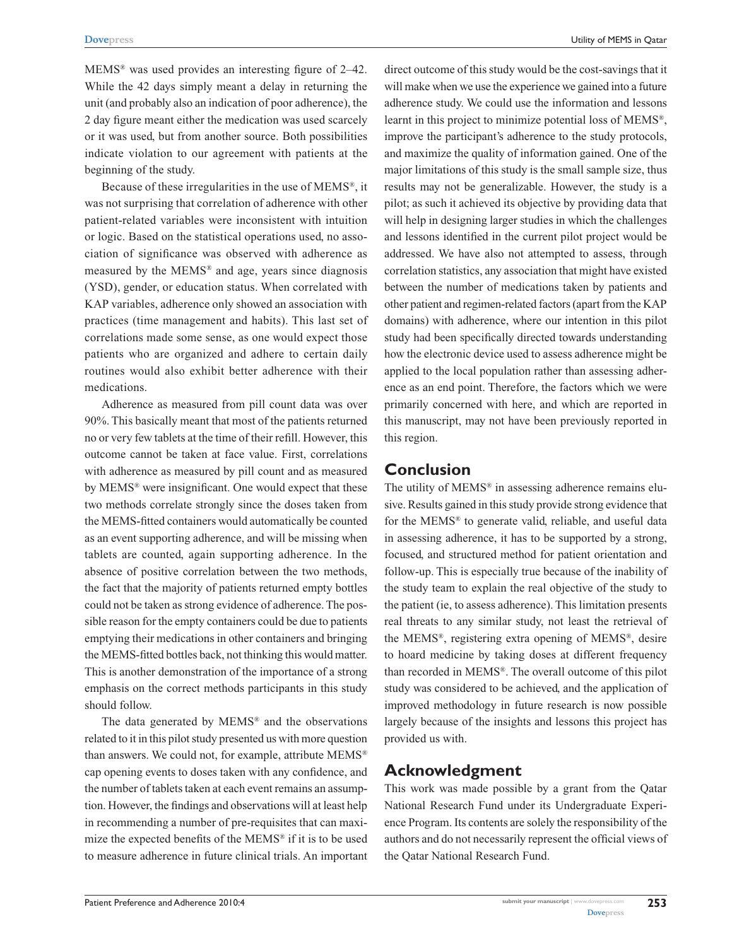MEMS® was used provides an interesting figure of 2–42. While the 42 days simply meant a delay in returning the unit (and probably also an indication of poor adherence), the 2 day figure meant either the medication was used scarcely or it was used, but from another source. Both possibilities indicate violation to our agreement with patients at the beginning of the study.

Because of these irregularities in the use of MEMS®, it was not surprising that correlation of adherence with other patient-related variables were inconsistent with intuition or logic. Based on the statistical operations used, no association of significance was observed with adherence as measured by the MEMS® and age, years since diagnosis (YSD), gender, or education status. When correlated with KAP variables, adherence only showed an association with practices (time management and habits). This last set of correlations made some sense, as one would expect those patients who are organized and adhere to certain daily routines would also exhibit better adherence with their medications.

Adherence as measured from pill count data was over 90%. This basically meant that most of the patients returned no or very few tablets at the time of their refill. However, this outcome cannot be taken at face value. First, correlations with adherence as measured by pill count and as measured by MEMS® were insignificant. One would expect that these two methods correlate strongly since the doses taken from the MEMS-fitted containers would automatically be counted as an event supporting adherence, and will be missing when tablets are counted, again supporting adherence. In the absence of positive correlation between the two methods, the fact that the majority of patients returned empty bottles could not be taken as strong evidence of adherence. The possible reason for the empty containers could be due to patients emptying their medications in other containers and bringing the MEMS-fitted bottles back, not thinking this would matter. This is another demonstration of the importance of a strong emphasis on the correct methods participants in this study should follow.

The data generated by MEMS® and the observations related to it in this pilot study presented us with more question than answers. We could not, for example, attribute MEMS® cap opening events to doses taken with any confidence, and the number of tablets taken at each event remains an assumption. However, the findings and observations will at least help in recommending a number of pre-requisites that can maximize the expected benefits of the MEMS® if it is to be used to measure adherence in future clinical trials. An important direct outcome of this study would be the cost-savings that it will make when we use the experience we gained into a future adherence study. We could use the information and lessons learnt in this project to minimize potential loss of MEMS®, improve the participant's adherence to the study protocols, and maximize the quality of information gained. One of the major limitations of this study is the small sample size, thus results may not be generalizable. However, the study is a pilot; as such it achieved its objective by providing data that will help in designing larger studies in which the challenges and lessons identified in the current pilot project would be addressed. We have also not attempted to assess, through correlation statistics, any association that might have existed between the number of medications taken by patients and other patient and regimen-related factors (apart from the KAP domains) with adherence, where our intention in this pilot study had been specifically directed towards understanding how the electronic device used to assess adherence might be applied to the local population rather than assessing adherence as an end point. Therefore, the factors which we were primarily concerned with here, and which are reported in this manuscript, may not have been previously reported in this region.

## **Conclusion**

The utility of MEMS<sup>®</sup> in assessing adherence remains elusive. Results gained in this study provide strong evidence that for the MEMS® to generate valid, reliable, and useful data in assessing adherence, it has to be supported by a strong, focused, and structured method for patient orientation and follow-up. This is especially true because of the inability of the study team to explain the real objective of the study to the patient (ie, to assess adherence). This limitation presents real threats to any similar study, not least the retrieval of the MEMS®, registering extra opening of MEMS®, desire to hoard medicine by taking doses at different frequency than recorded in MEMS®. The overall outcome of this pilot study was considered to be achieved, and the application of improved methodology in future research is now possible largely because of the insights and lessons this project has provided us with.

## **Acknowledgment**

This work was made possible by a grant from the Qatar National Research Fund under its Undergraduate Experience Program. Its contents are solely the responsibility of the authors and do not necessarily represent the official views of the Qatar National Research Fund.